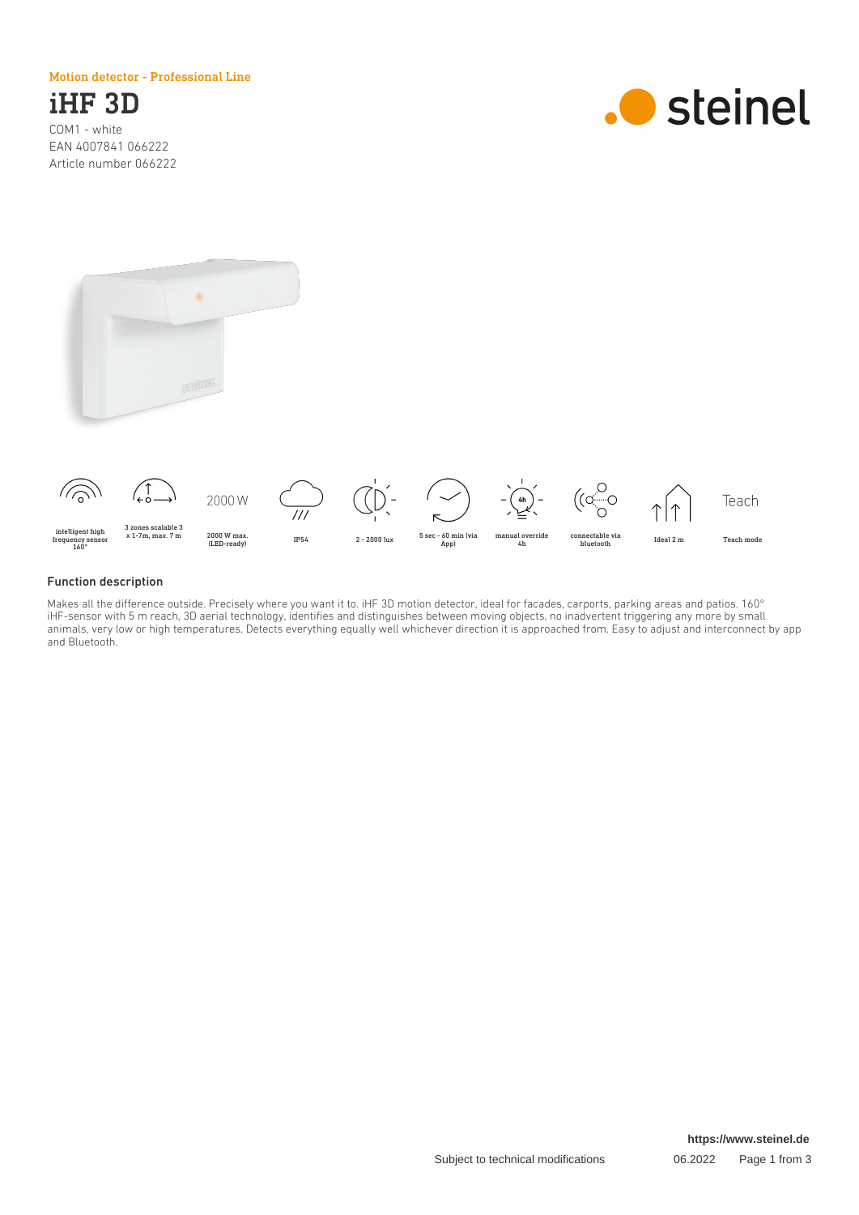Motion detector - Professional Line

# iHF 3D

COM1 - white EAN 4007841 066222 Article number 066222







#### Function description

Makes all the difference outside. Precisely where you want it to. iHF 3D motion detector, ideal for facades, carports, parking areas and patios. 160° iHF-sensor with 5 m reach, 3D aerial technology, identifies and distinguishes between moving objects, no inadvertent triggering any more by small animals, very low or high temperatures. Detects everything equally well whichever direction it is approached from. Easy to adjust and interconnect by app and Bluetooth.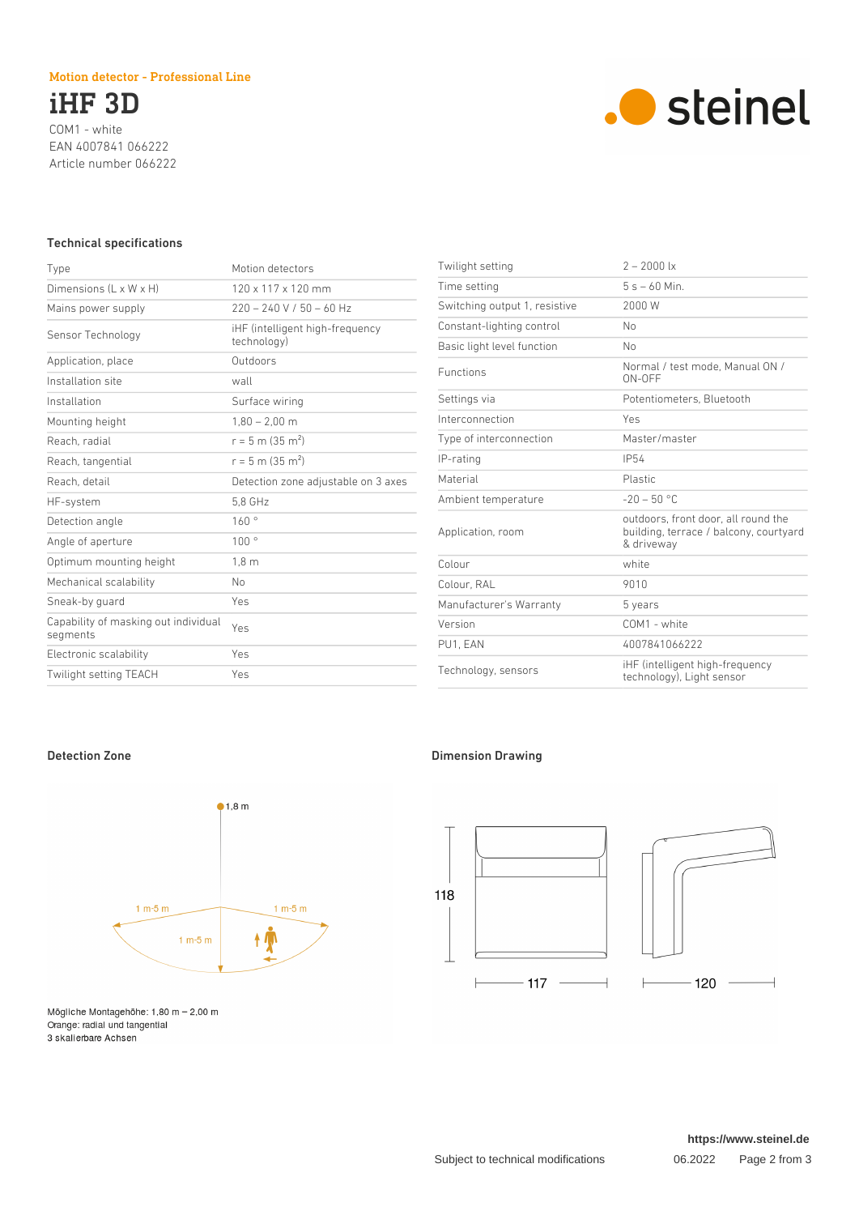### Motion detector - Professional Line

iHF 3D COM1 - white EAN 4007841 066222 Article number 066222



### Technical specifications

| Type                                             | Motion detectors                               |
|--------------------------------------------------|------------------------------------------------|
| Dimensions $(L \times W \times H)$               | $120 \times 117 \times 120$ mm                 |
| Mains power supply                               | $220 - 240$ V / 50 - 60 Hz                     |
| Sensor Technology                                | iHF (intelligent high-frequency<br>technology) |
| Application, place                               | Outdoors                                       |
| Installation site                                | wall                                           |
| Installation                                     | Surface wiring                                 |
| Mounting height                                  | $1,80 - 2,00$ m                                |
| Reach, radial                                    | $r = 5$ m (35 m <sup>2</sup> )                 |
| Reach, tangential                                | $r = 5$ m (35 m <sup>2</sup> )                 |
| Reach, detail                                    | Detection zone adjustable on 3 axes            |
| HF-system                                        | 5.8 GHz                                        |
| Detection angle                                  | 160°                                           |
| Angle of aperture                                | 100°                                           |
| Optimum mounting height                          | $1,8 \text{ m}$                                |
| Mechanical scalability                           | No                                             |
| Sneak-by guard                                   | Yes                                            |
| Capability of masking out individual<br>segments | Yes                                            |
| Electronic scalability                           | Yes                                            |
| <b>Twilight setting TEACH</b>                    | Yes                                            |

| Twilight setting              | $2 - 2000$ lx                                                                               |
|-------------------------------|---------------------------------------------------------------------------------------------|
| Time setting                  | $5s - 60$ Min.                                                                              |
| Switching output 1, resistive | 2000 W                                                                                      |
| Constant-lighting control     | No                                                                                          |
| Basic light level function    | No                                                                                          |
| <b>Functions</b>              | Normal / test mode, Manual ON /<br>ON-OFF                                                   |
| Settings via                  | Potentiometers, Bluetooth                                                                   |
| Interconnection               | Yes                                                                                         |
| Type of interconnection       | Master/master                                                                               |
| IP-rating                     | <b>IP54</b>                                                                                 |
| Material                      | Plastic                                                                                     |
| Ambient temperature           | $-20 - 50$ °C                                                                               |
| Application, room             | outdoors, front door, all round the<br>building, terrace / balcony, courtyard<br>& driveway |
| Colour                        | white                                                                                       |
| Colour, RAL                   | 9010                                                                                        |
| Manufacturer's Warranty       | 5 years                                                                                     |
| Version                       | $COM1$ - white                                                                              |
| PU1, EAN                      | 4007841066222                                                                               |
| Technology, sensors           | iHF (intelligent high-frequency<br>technology), Light sensor                                |



Mögliche Montagehöhe: 1,80 m - 2,00 m Orange: radial und tangential 3 skalierbare Achsen

# Detection Zone **Dimension Drawing**